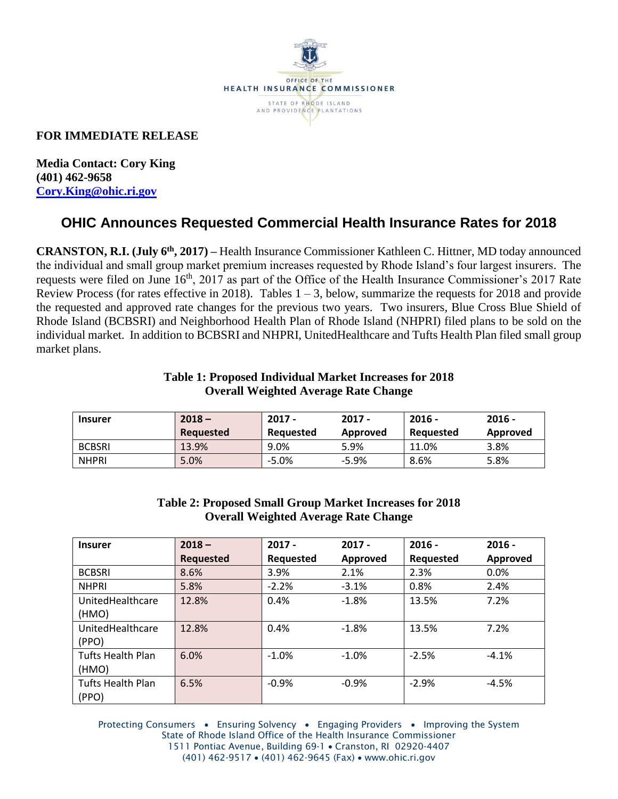

## **FOR IMMEDIATE RELEASE**

**Media Contact: Cory King (401) 462-9658 [Cory.King@ohic.ri.gov](mailto:Cory.King@ohic.ri.gov)**

# **OHIC Announces Requested Commercial Health Insurance Rates for 2018**

**CRANSTON, R.I. (July 6th, 2017) –** Health Insurance Commissioner Kathleen C. Hittner, MD today announced the individual and small group market premium increases requested by Rhode Island's four largest insurers. The requests were filed on June 16<sup>th</sup>, 2017 as part of the Office of the Health Insurance Commissioner's 2017 Rate Review Process (for rates effective in 2018). Tables  $1 - 3$ , below, summarize the requests for 2018 and provide the requested and approved rate changes for the previous two years. Two insurers, Blue Cross Blue Shield of Rhode Island (BCBSRI) and Neighborhood Health Plan of Rhode Island (NHPRI) filed plans to be sold on the individual market. In addition to BCBSRI and NHPRI, UnitedHealthcare and Tufts Health Plan filed small group market plans.

### **Table 1: Proposed Individual Market Increases for 2018 Overall Weighted Average Rate Change**

| <b>Insurer</b> | $2018 -$<br><b>Requested</b> | 2017 -<br>Reauested | $2017 -$<br>Approved | $2016 -$<br>Reauested | $2016 -$<br>Approved |
|----------------|------------------------------|---------------------|----------------------|-----------------------|----------------------|
| <b>BCBSRI</b>  | 13.9%                        | 9.0%                | 5.9%                 | 11.0%                 | $3.8\%$              |
| <b>NHPRI</b>   | 5.0%                         | $-5.0%$             | $-5.9%$              | 8.6%                  | 5.8%                 |

#### **Table 2: Proposed Small Group Market Increases for 2018 Overall Weighted Average Rate Change**

| <b>Insurer</b>           | $2018 -$         | $2017 -$  | $2017 -$ | $2016 -$  | $2016 -$ |
|--------------------------|------------------|-----------|----------|-----------|----------|
|                          | <b>Requested</b> | Requested | Approved | Requested | Approved |
| <b>BCBSRI</b>            | 8.6%             | 3.9%      | 2.1%     | 2.3%      | 0.0%     |
| <b>NHPRI</b>             | 5.8%             | $-2.2%$   | $-3.1%$  | 0.8%      | 2.4%     |
| UnitedHealthcare         | 12.8%            | 0.4%      | $-1.8%$  | 13.5%     | 7.2%     |
| (HMO)                    |                  |           |          |           |          |
| UnitedHealthcare         | 12.8%            | 0.4%      | $-1.8%$  | 13.5%     | 7.2%     |
| (PPO)                    |                  |           |          |           |          |
| <b>Tufts Health Plan</b> | 6.0%             | $-1.0%$   | $-1.0%$  | $-2.5%$   | $-4.1%$  |
| (HMO)                    |                  |           |          |           |          |
| <b>Tufts Health Plan</b> | 6.5%             | $-0.9%$   | $-0.9%$  | $-2.9%$   | $-4.5%$  |
| (PPO)                    |                  |           |          |           |          |

Protecting Consumers • Ensuring Solvency • Engaging Providers • Improving the System State of Rhode Island Office of the Health Insurance Commissioner 1511 Pontiac Avenue, Building 69-1 . Cranston, RI 02920-4407 (401) 462-9517 • (401) 462-9645 (Fax) • www.ohic.ri.gov